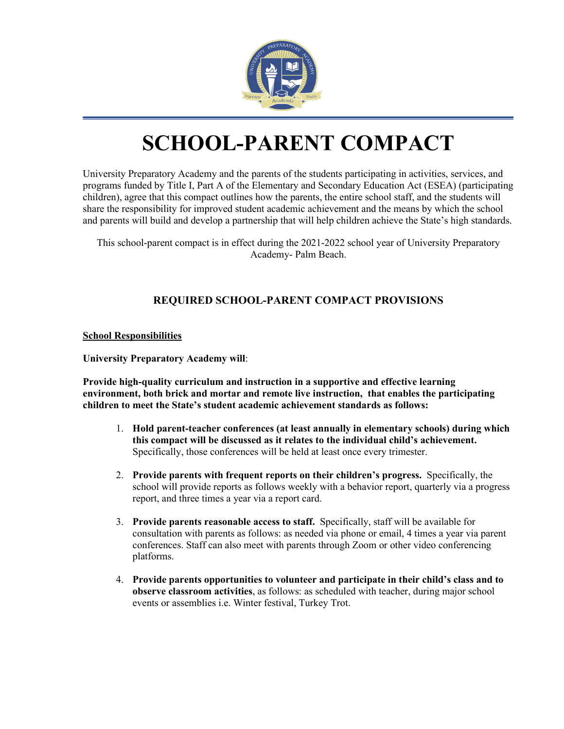

# **SCHOOL-PARENT COMPACT**

University Preparatory Academy and the parents of the students participating in activities, services, and programs funded by Title I, Part A of the Elementary and Secondary Education Act (ESEA) (participating children), agree that this compact outlines how the parents, the entire school staff, and the students will share the responsibility for improved student academic achievement and the means by which the school and parents will build and develop a partnership that will help children achieve the State's high standards.

This school-parent compact is in effect during the 2021-2022 school year of University Preparatory Academy- Palm Beach.

## **REQUIRED SCHOOL-PARENT COMPACT PROVISIONS**

**School Responsibilities**

**University Preparatory Academy will**:

**Provide high-quality curriculum and instruction in a supportive and effective learning environment, both brick and mortar and remote live instruction, that enables the participating children to meet the State's student academic achievement standards as follows:**

- 1. **Hold parent-teacher conferences (at least annually in elementary schools) during which this compact will be discussed as it relates to the individual child's achievement.**  Specifically, those conferences will be held at least once every trimester.
- 2. **Provide parents with frequent reports on their children's progress.** Specifically, the school will provide reports as follows weekly with a behavior report, quarterly via a progress report, and three times a year via a report card.
- 3. **Provide parents reasonable access to staff.** Specifically, staff will be available for consultation with parents as follows: as needed via phone or email, 4 times a year via parent conferences. Staff can also meet with parents through Zoom or other video conferencing platforms.
- 4. **Provide parents opportunities to volunteer and participate in their child's class and to observe classroom activities**, as follows: as scheduled with teacher, during major school events or assemblies i.e. Winter festival, Turkey Trot.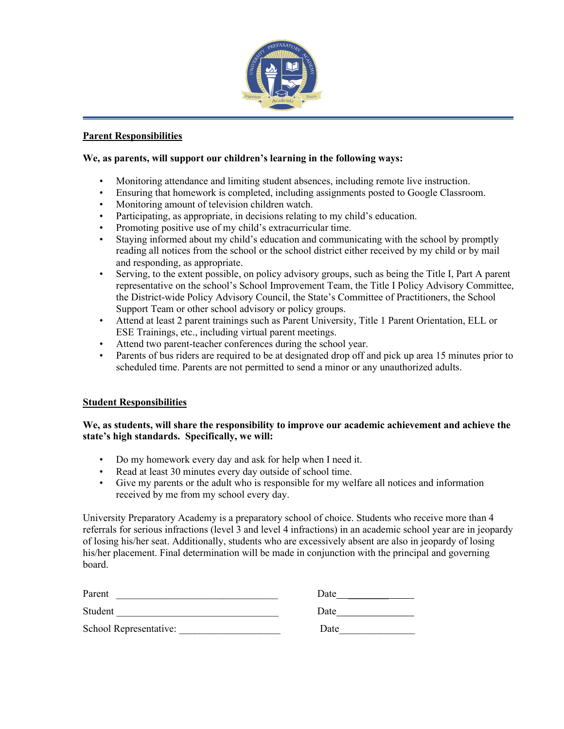

### **Parent Responsibilities**

#### **We, as parents, will support our children's learning in the following ways:**

- Monitoring attendance and limiting student absences, including remote live instruction.
- Ensuring that homework is completed, including assignments posted to Google Classroom.
- Monitoring amount of television children watch.
- Participating, as appropriate, in decisions relating to my child's education.
- Promoting positive use of my child's extracurricular time.
- Staying informed about my child's education and communicating with the school by promptly reading all notices from the school or the school district either received by my child or by mail and responding, as appropriate.
- Serving, to the extent possible, on policy advisory groups, such as being the Title I, Part A parent representative on the school's School Improvement Team, the Title I Policy Advisory Committee, the District-wide Policy Advisory Council, the State's Committee of Practitioners, the School Support Team or other school advisory or policy groups.
- Attend at least 2 parent trainings such as Parent University, Title 1 Parent Orientation, ELL or ESE Trainings, etc., including virtual parent meetings.
- Attend two parent-teacher conferences during the school year.
- Parents of bus riders are required to be at designated drop off and pick up area 15 minutes prior to scheduled time. Parents are not permitted to send a minor or any unauthorized adults.

#### **Student Responsibilities**

### **We, as students, will share the responsibility to improve our academic achievement and achieve the state's high standards. Specifically, we will:**

- Do my homework every day and ask for help when I need it.
- Read at least 30 minutes every day outside of school time.
- Give my parents or the adult who is responsible for my welfare all notices and information received by me from my school every day.

University Preparatory Academy is a preparatory school of choice. Students who receive more than 4 referrals for serious infractions (level 3 and level 4 infractions) in an academic school year are in jeopardy of losing his/her seat. Additionally, students who are excessively absent are also in jeopardy of losing his/her placement. Final determination will be made in conjunction with the principal and governing board.

| Parent                 | Date |
|------------------------|------|
| Student                | Date |
| School Representative: | Date |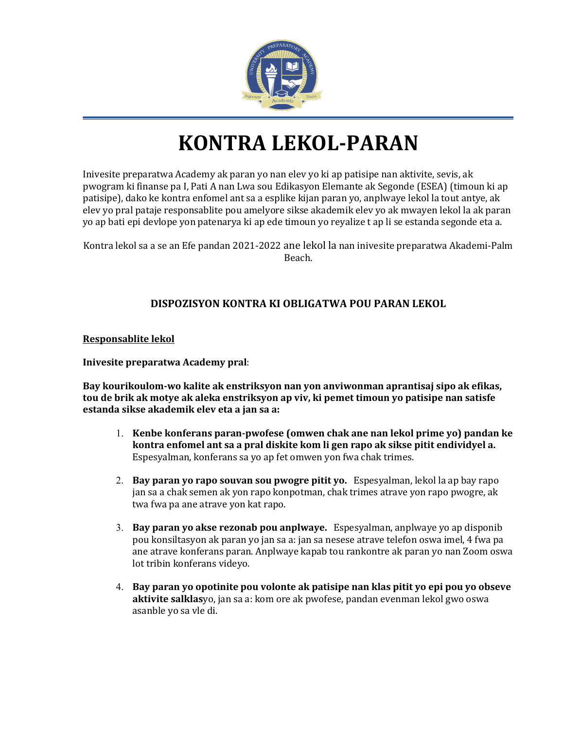

# **KONTRA LEKOL-PARAN**

Inivesite preparatwa Academy ak paran yo nan elev yo ki ap patisipe nan aktivite, sevis, ak pwogram ki finanse pa I, Pati A nan Lwa sou Edikasyon Elemante ak Segonde (ESEA) (timoun ki ap patisipe), dako ke kontra enfomel ant sa a esplike kijan paran yo, anplwaye lekol la tout antye, ak elev yo pral pataje responsablite pou amelyore sikse akademik elev yo ak mwayen lekol la ak paran yo ap bati epi devlope yon patenarya ki ap ede timoun yo reyalize t ap li se estanda segonde eta a.

Kontra lekol sa a se an Efe pandan 2021-2022 ane lekol la nan inivesite preparatwa Akademi-Palm Beach.

## **DISPOZISYON KONTRA KI OBLIGATWA POU PARAN LEKOL**

**Responsablite lekol**

**Inivesite preparatwa Academy pral**:

**Bay kourikoulom-wo kalite ak enstriksyon nan yon anviwonman aprantisaj sipo ak efikas, tou de brik ak motye ak aleka enstriksyon ap viv, ki pemet timoun yo patisipe nan satisfe estanda sikse akademik elev eta a jan sa a:**

- 1. **Kenbe konferans paran-pwofese (omwen chak ane nan lekol prime yo) pandan ke kontra enfomel ant sa a pral diskite kom li gen rapo ak sikse pitit endividyel a.**  Espesyalman, konferans sa yo ap fet omwen yon fwa chak trimes.
- 2. **Bay paran yo rapo souvan sou pwogre pitit yo.** Espesyalman, lekol la ap bay rapo jan sa a chak semen ak yon rapo konpotman, chak trimes atrave yon rapo pwogre, ak twa fwa pa ane atrave yon kat rapo.
- 3. **Bay paran yo akse rezonab pou anplwaye.** Espesyalman, anplwaye yo ap disponib pou konsiltasyon ak paran yo jan sa a: jan sa nesese atrave telefon oswa imel, 4 fwa pa ane atrave konferans paran. Anplwaye kapab tou rankontre ak paran yo nan Zoom oswa lot tribin konferans videyo.
- 4. **Bay paran yo opotinite pou volonte ak patisipe nan klas pitit yo epi pou yo obseve aktivite salklas**yo, jan sa a: kom ore ak pwofese, pandan evenman lekol gwo oswa asanble yo sa vle di.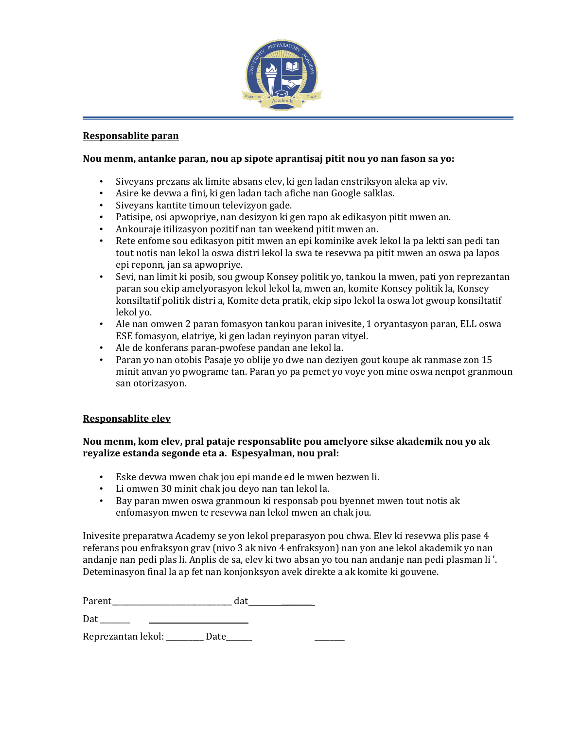

#### **Responsablite paran**

### **Nou menm, antanke paran, nou ap sipote aprantisaj pitit nou yo nan fason sa yo:**

- Siveyans prezans ak limite absans elev, ki gen ladan enstriksyon aleka ap viv.
- Asire ke devwa a fini, ki gen ladan tach afiche nan Google salklas.
- Siveyans kantite timoun televizyon gade.
- Patisipe, osi apwopriye, nan desizyon ki gen rapo ak edikasyon pitit mwen an.
- Ankouraje itilizasyon pozitif nan tan weekend pitit mwen an.
- Rete enfome sou edikasyon pitit mwen an epi kominike avek lekol la pa lekti san pedi tan tout notis nan lekol la oswa distri lekol la swa te resevwa pa pitit mwen an oswa pa lapos epi reponn, jan sa apwopriye.
- Sevi, nan limit ki posib, sou gwoup Konsey politik yo, tankou la mwen, pati yon reprezantan paran sou ekip amelyorasyon lekol lekol la, mwen an, komite Konsey politik la, Konsey konsiltatif politik distri a, Komite deta pratik, ekip sipo lekol la oswa lot gwoup konsiltatif lekol yo.
- Ale nan omwen 2 paran fomasyon tankou paran inivesite, 1 oryantasyon paran, ELL oswa ESE fomasyon, elatriye, ki gen ladan reyinyon paran vityel.
- Ale de konferans paran-pwofese pandan ane lekol la.
- Paran yo nan otobis Pasaje yo oblije yo dwe nan deziyen gout koupe ak ranmase zon 15 minit anvan yo pwograme tan. Paran yo pa pemet yo voye yon mine oswa nenpot granmoun san otorizasyon.

## **Responsablite elev**

## **Nou menm, kom elev, pral pataje responsablite pou amelyore sikse akademik nou yo ak reyalize estanda segonde eta a. Espesyalman, nou pral:**

- Eske devwa mwen chak jou epi mande ed le mwen bezwen li.
- Li omwen 30 minit chak jou deyo nan tan lekol la.
- Bay paran mwen oswa granmoun ki responsab pou byennet mwen tout notis ak enfomasyon mwen te resevwa nan lekol mwen an chak jou.

Inivesite preparatwa Academy se yon lekol preparasyon pou chwa. Elev ki resevwa plis pase 4 referans pou enfraksyon grav (nivo 3 ak nivo 4 enfraksyon) nan yon ane lekol akademik yo nan andanje nan pedi plas li. Anplis de sa, elev ki two absan yo tou nan andanje nan pedi plasman li '. Deteminasyon final la ap fet nan konjonksyon avek direkte a ak komite ki gouvene.

Parent\_\_\_\_\_\_\_\_\_\_\_\_\_\_\_\_\_\_\_\_\_\_\_\_\_\_\_\_\_\_\_\_ dat \_\_\_\_\_\_\_\_

 $Data$   $\qquad$ 

Reprezantan lekol: \_\_\_\_\_\_\_\_ Date\_\_\_\_\_\_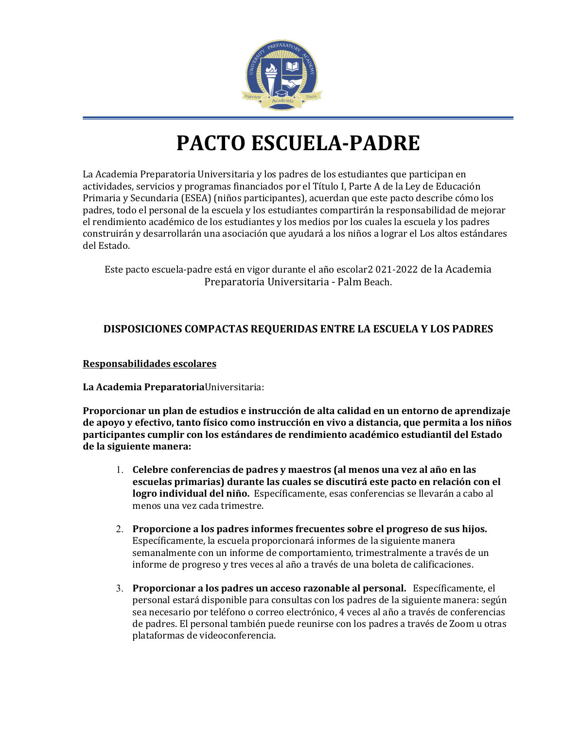

# **PACTO ESCUELA-PADRE**

La Academia Preparatoria Universitaria y los padres de los estudiantes que participan en actividades, servicios y programas financiados por el Título I, Parte A de la Ley de Educación Primaria y Secundaria (ESEA) (niños participantes), acuerdan que este pacto describe cómo los padres, todo el personal de la escuela y los estudiantes compartirán la responsabilidad de mejorar el rendimiento académico de los estudiantes y los medios por los cuales la escuela y los padres construirán y desarrollarán una asociación que ayudará a los niños a lograr el Los altos estándares del Estado.

Este pacto escuela-padre está en vigor durante el año escolar2 021-2022 de la Academia Preparatoria Universitaria - Palm Beach.

## **DISPOSICIONES COMPACTAS REQUERIDAS ENTRE LA ESCUELA Y LOS PADRES**

## **Responsabilidades escolares**

## **La Academia Preparatoria**Universitaria:

**Proporcionar un plan de estudios e instrucción de alta calidad en un entorno de aprendizaje de apoyo y efectivo, tanto físico como instrucción en vivo a distancia, que permita a los niños participantes cumplir con los estándares de rendimiento académico estudiantil del Estado de la siguiente manera:**

- 1. **Celebre conferencias de padres y maestros (al menos una vez al año en las escuelas primarias) durante las cuales se discutirá este pacto en relación con el logro individual del niño.** Específicamente, esas conferencias se llevarán a cabo al menos una vez cada trimestre.
- 2. **Proporcione a los padres informes frecuentes sobre el progreso de sus hijos.**  Específicamente, la escuela proporcionará informes de la siguiente manera semanalmente con un informe de comportamiento, trimestralmente a través de un informe de progreso y tres veces al año a través de una boleta de calificaciones.
- 3. **Proporcionar a los padres un acceso razonable al personal.** Específicamente, el personal estará disponible para consultas con los padres de la siguiente manera: según sea necesario por teléfono o correo electrónico, 4 veces al año a través de conferencias de padres. El personal también puede reunirse con los padres a través de Zoom u otras plataformas de videoconferencia.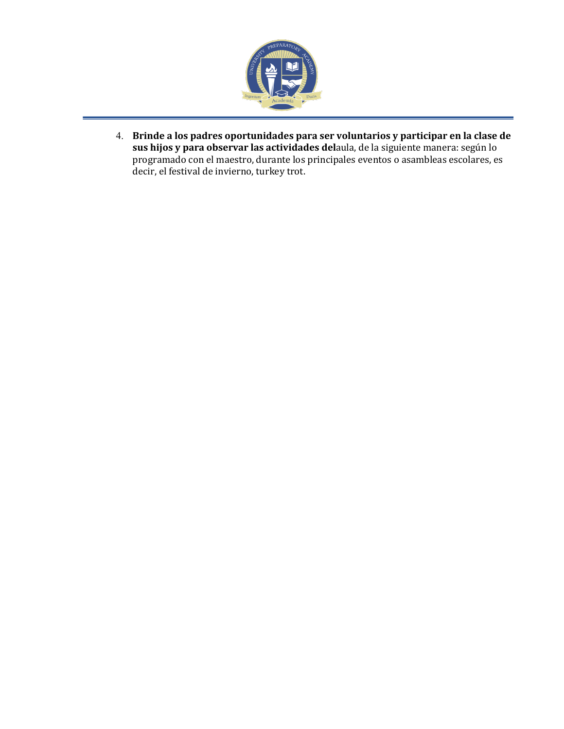

4. **Brinde a los padres oportunidades para ser voluntarios y participar en la clase de sus hijos y para observar las actividades del**aula, de la siguiente manera: según lo programado con el maestro, durante los principales eventos o asambleas escolares, es decir, el festival de invierno, turkey trot.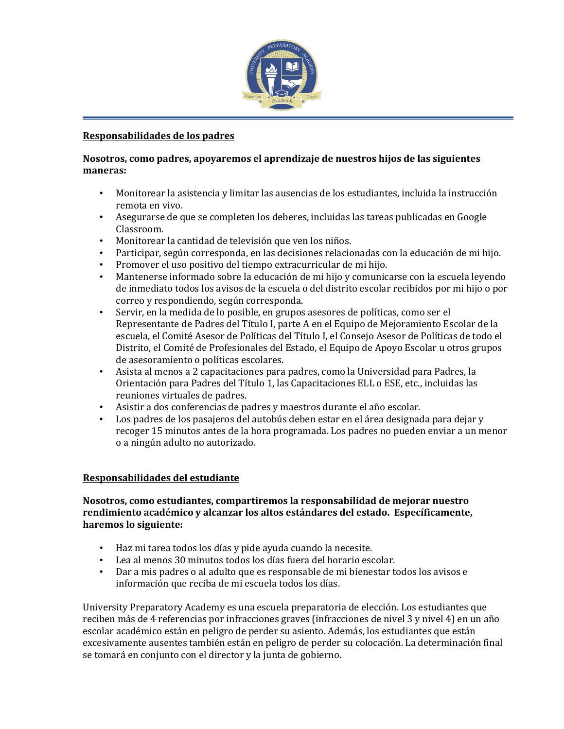

### **Responsabilidades de los padres**

### **Nosotros, como padres, apoyaremos el aprendizaje de nuestros hijos de las siguientes maneras:**

- Monitorear la asistencia y limitar las ausencias de los estudiantes, incluida la instrucción remota en vivo.
- Asegurarse de que se completen los deberes, incluidas las tareas publicadas en Google Classroom.
- Monitorear la cantidad de televisión que ven los niños.
- Participar, según corresponda, en las decisiones relacionadas con la educación de mi hijo.
- Promover el uso positivo del tiempo extracurricular de mi hijo.
- Mantenerse informado sobre la educación de mi hijo y comunicarse con la escuela leyendo de inmediato todos los avisos de la escuela o del distrito escolar recibidos por mi hijo o por correo y respondiendo, según corresponda.
- Servir, en la medida de lo posible, en grupos asesores de políticas, como ser el Representante de Padres del Título I, parte A en el Equipo de Mejoramiento Escolar de la escuela, el Comité Asesor de Políticas del Título I, el Consejo Asesor de Políticas de todo el Distrito, el Comité de Profesionales del Estado, el Equipo de Apoyo Escolar u otros grupos de asesoramiento o políticas escolares.
- Asista al menos a 2 capacitaciones para padres, como la Universidad para Padres, la Orientación para Padres del Título 1, las Capacitaciones ELL o ESE, etc., incluidas las reuniones virtuales de padres.
- Asistir a dos conferencias de padres y maestros durante el año escolar.
- Los padres de los pasajeros del autobús deben estar en el área designada para dejar y recoger 15 minutos antes de la hora programada. Los padres no pueden enviar a un menor o a ningún adulto no autorizado.

## **Responsabilidades del estudiante**

### **Nosotros, como estudiantes, compartiremos la responsabilidad de mejorar nuestro rendimiento académico y alcanzar los altos estándares del estado. Específicamente, haremos lo siguiente:**

- Haz mi tarea todos los días y pide ayuda cuando la necesite.
- Lea al menos 30 minutos todos los días fuera del horario escolar.
- Dar a mis padres o al adulto que es responsable de mi bienestar todos los avisos e información que reciba de mi escuela todos los días.

University Preparatory Academy es una escuela preparatoria de elección. Los estudiantes que reciben más de 4 referencias por infracciones graves (infracciones de nivel 3 y nivel 4) en un año escolar académico están en peligro de perder su asiento. Además, los estudiantes que están excesivamente ausentes también están en peligro de perder su colocación. La determinación final se tomará en conjunto con el director y la junta de gobierno.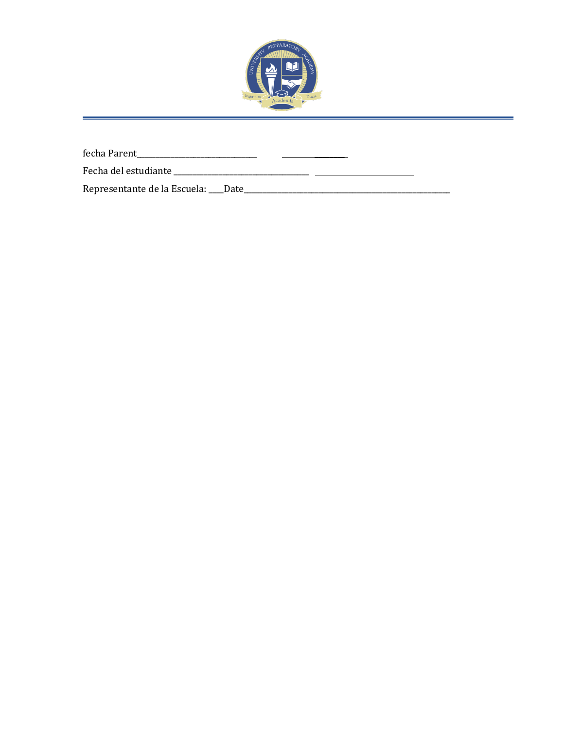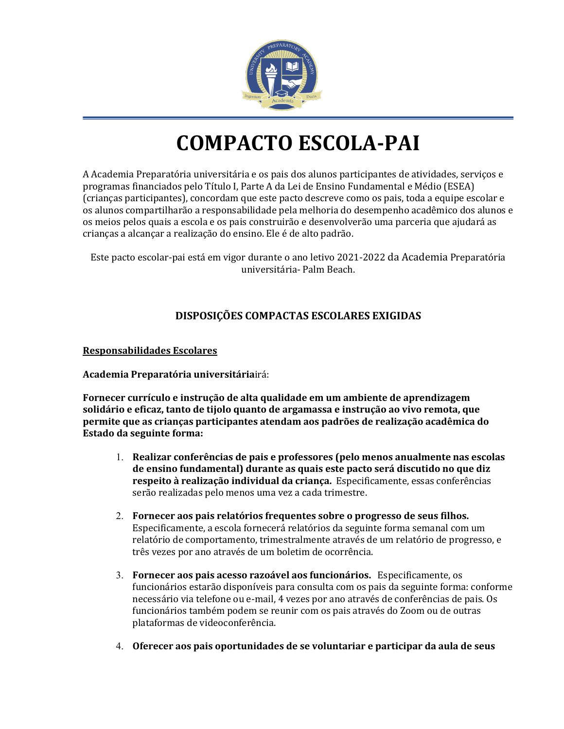

# **COMPACTO ESCOLA-PAI**

A Academia Preparatória universitária e os pais dos alunos participantes de atividades, serviços e programas financiados pelo Título I, Parte A da Lei de Ensino Fundamental e Médio (ESEA) (crianças participantes), concordam que este pacto descreve como os pais, toda a equipe escolar e os alunos compartilharão a responsabilidade pela melhoria do desempenho acadêmico dos alunos e os meios pelos quais a escola e os pais construirão e desenvolverão uma parceria que ajudará as crianças a alcançar a realização do ensino. Ele é de alto padrão.

Este pacto escolar-pai está em vigor durante o ano letivo 2021-2022 da Academia Preparatória universitária- Palm Beach.

## **DISPOSIÇÕES COMPACTAS ESCOLARES EXIGIDAS**

## **Responsabilidades Escolares**

**Academia Preparatória universitária**irá:

**Fornecer currículo e instrução de alta qualidade em um ambiente de aprendizagem solidário e eficaz, tanto de tijolo quanto de argamassa e instrução ao vivo remota, que permite que as crianças participantes atendam aos padrões de realização acadêmica do Estado da seguinte forma:**

- 1. **Realizar conferências de pais e professores (pelo menos anualmente nas escolas de ensino fundamental) durante as quais este pacto será discutido no que diz respeito à realização individual da criança.** Especificamente, essas conferências serão realizadas pelo menos uma vez a cada trimestre.
- 2. **Fornecer aos pais relatórios frequentes sobre o progresso de seus filhos.**  Especificamente, a escola fornecerá relatórios da seguinte forma semanal com um relatório de comportamento, trimestralmente através de um relatório de progresso, e três vezes por ano através de um boletim de ocorrência.
- 3. **Fornecer aos pais acesso razoável aos funcionários.** Especificamente, os funcionários estarão disponíveis para consulta com os pais da seguinte forma: conforme necessário via telefone ou e-mail, 4 vezes por ano através de conferências de pais. Os funcionários também podem se reunir com os pais através do Zoom ou de outras plataformas de videoconferência.
- 4. **Oferecer aos pais oportunidades de se voluntariar e participar da aula de seus**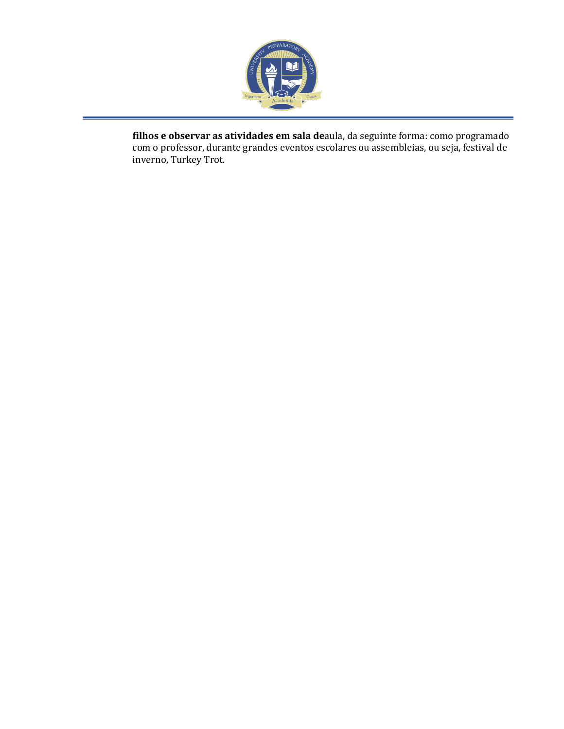

**filhos e observar as atividades em sala de**aula, da seguinte forma: como programado com o professor, durante grandes eventos escolares ou assembleias, ou seja, festival de inverno, Turkey Trot.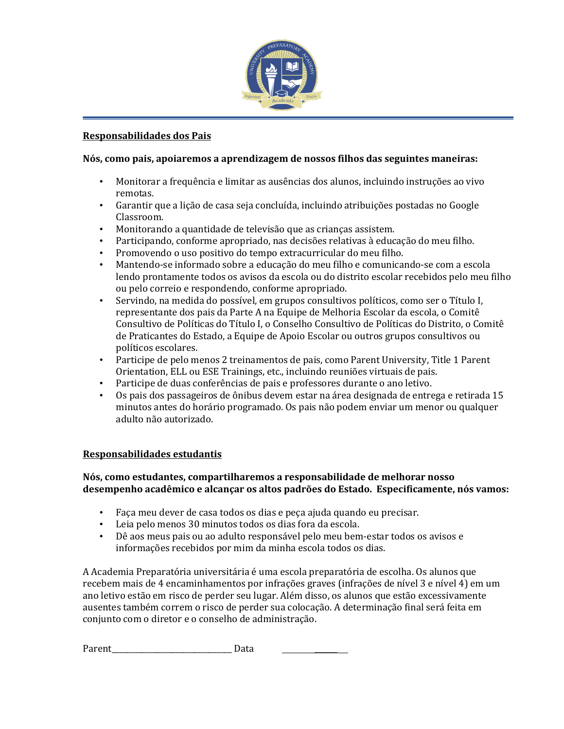

### **Responsabilidades dos Pais**

### **Nós, como pais, apoiaremos a aprendizagem de nossos filhos das seguintes maneiras:**

- Monitorar a frequência e limitar as ausências dos alunos, incluindo instruções ao vivo remotas.
- Garantir que a lição de casa seja concluída, incluindo atribuições postadas no Google Classroom.
- Monitorando a quantidade de televisão que as crianças assistem.
- Participando, conforme apropriado, nas decisões relativas à educação do meu filho.
- Promovendo o uso positivo do tempo extracurricular do meu filho.
- Mantendo-se informado sobre a educação do meu filho e comunicando-se com a escola lendo prontamente todos os avisos da escola ou do distrito escolar recebidos pelo meu filho ou pelo correio e respondendo, conforme apropriado.
- Servindo, na medida do possível, em grupos consultivos políticos, como ser o Título I, representante dos pais da Parte A na Equipe de Melhoria Escolar da escola, o Comitê Consultivo de Políticas do Título I, o Conselho Consultivo de Políticas do Distrito, o Comitê de Praticantes do Estado, a Equipe de Apoio Escolar ou outros grupos consultivos ou políticos escolares.
- Participe de pelo menos 2 treinamentos de pais, como Parent University, Title 1 Parent Orientation, ELL ou ESE Trainings, etc., incluindo reuniões virtuais de pais.
- Participe de duas conferências de pais e professores durante o ano letivo.
- Os pais dos passageiros de ônibus devem estar na área designada de entrega e retirada 15 minutos antes do horário programado. Os pais não podem enviar um menor ou qualquer adulto não autorizado.

## **Responsabilidades estudantis**

## **Nós, como estudantes, compartilharemos a responsabilidade de melhorar nosso desempenho acadêmico e alcançar os altos padrões do Estado. Especificamente, nós vamos:**

- Faça meu dever de casa todos os dias e peça ajuda quando eu precisar.
- Leia pelo menos 30 minutos todos os dias fora da escola.
- Dê aos meus pais ou ao adulto responsável pelo meu bem-estar todos os avisos e informações recebidos por mim da minha escola todos os dias.

A Academia Preparatória universitária é uma escola preparatória de escolha. Os alunos que recebem mais de 4 encaminhamentos por infrações graves (infrações de nível 3 e nível 4) em um ano letivo estão em risco de perder seu lugar. Além disso, os alunos que estão excessivamente ausentes também correm o risco de perder sua colocação. A determinação final será feita em conjunto com o diretor e o conselho de administração.

Parent\_\_\_\_\_\_\_\_\_\_\_\_\_\_\_\_\_\_\_\_\_\_\_\_\_\_\_\_\_\_\_\_ Data \_\_\_\_\_\_